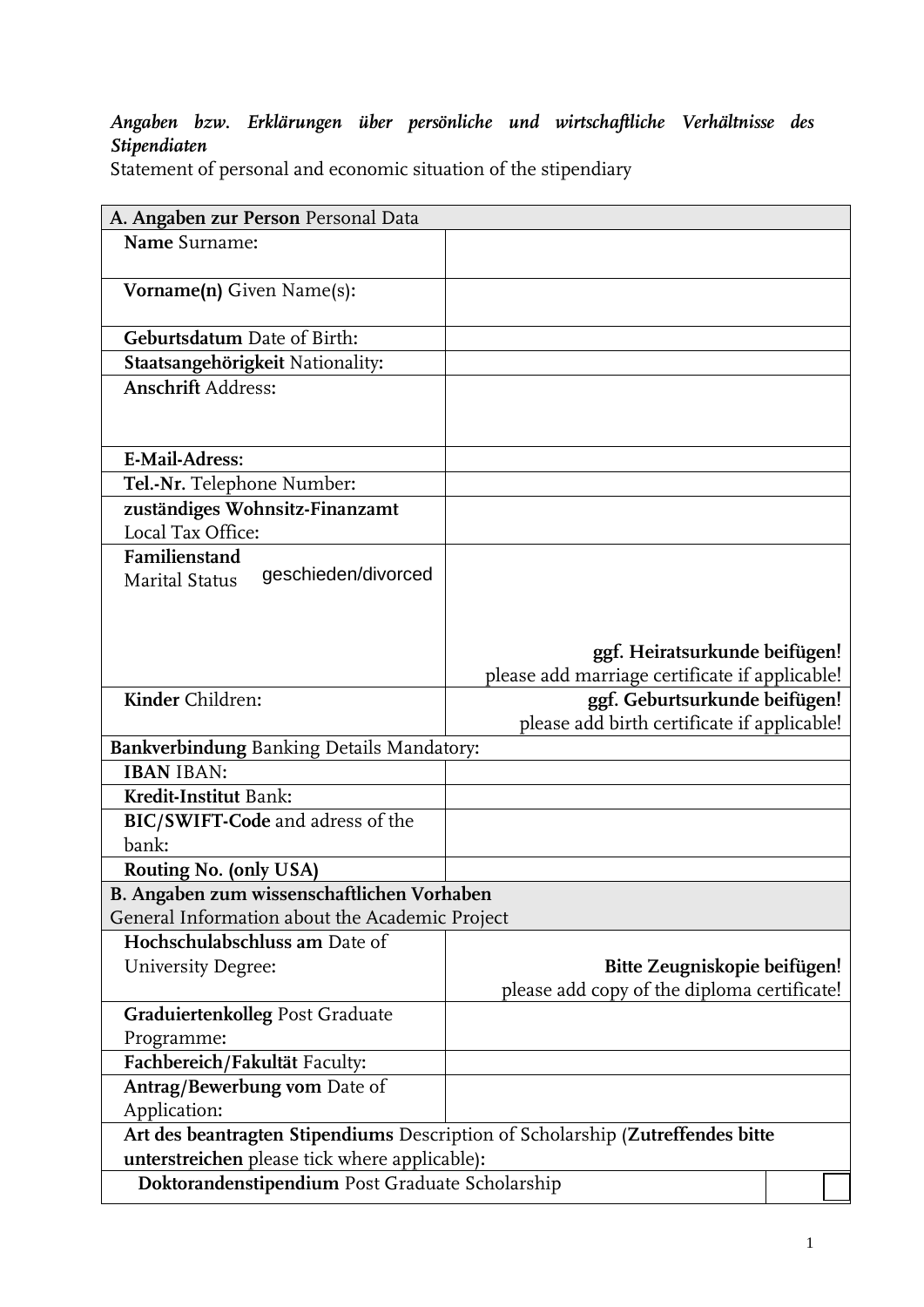## *Angaben bzw. Erklärungen über persönliche und wirtschaftliche Verhältnisse des Stipendiaten*

Statement of personal and economic situation of the stipendiary

| A. Angaben zur Person Personal Data                                            |                                                |  |  |
|--------------------------------------------------------------------------------|------------------------------------------------|--|--|
| Name Surname:                                                                  |                                                |  |  |
|                                                                                |                                                |  |  |
| Vorname(n) Given Name(s):                                                      |                                                |  |  |
| Geburtsdatum Date of Birth:                                                    |                                                |  |  |
| Staatsangehörigkeit Nationality:                                               |                                                |  |  |
| <b>Anschrift Address:</b>                                                      |                                                |  |  |
|                                                                                |                                                |  |  |
|                                                                                |                                                |  |  |
| <b>E-Mail-Adress:</b>                                                          |                                                |  |  |
| Tel.-Nr. Telephone Number:                                                     |                                                |  |  |
| zuständiges Wohnsitz-Finanzamt                                                 |                                                |  |  |
| Local Tax Office:                                                              |                                                |  |  |
| Familienstand<br>geschieden/divorced                                           |                                                |  |  |
| <b>Marital Status</b>                                                          |                                                |  |  |
|                                                                                |                                                |  |  |
|                                                                                | ggf. Heiratsurkunde beifügen!                  |  |  |
|                                                                                | please add marriage certificate if applicable! |  |  |
| Kinder Children:                                                               | ggf. Geburtsurkunde beifügen!                  |  |  |
|                                                                                | please add birth certificate if applicable!    |  |  |
| <b>Bankverbindung Banking Details Mandatory:</b>                               |                                                |  |  |
| <b>IBAN IBAN:</b>                                                              |                                                |  |  |
| Kredit-Institut Bank:                                                          |                                                |  |  |
| BIC/SWIFT-Code and adress of the                                               |                                                |  |  |
| bank:                                                                          |                                                |  |  |
| Routing No. (only USA)                                                         |                                                |  |  |
| B. Angaben zum wissenschaftlichen Vorhaben                                     |                                                |  |  |
| General Information about the Academic Project                                 |                                                |  |  |
| Hochschulabschluss am Date of                                                  |                                                |  |  |
| University Degree:                                                             | Bitte Zeugniskopie beifügen!                   |  |  |
|                                                                                | please add copy of the diploma certificate!    |  |  |
| Graduiertenkolleg Post Graduate                                                |                                                |  |  |
| Programme:                                                                     |                                                |  |  |
| Fachbereich/Fakultät Faculty:                                                  |                                                |  |  |
| Antrag/Bewerbung vom Date of                                                   |                                                |  |  |
| Application:                                                                   |                                                |  |  |
| Art des beantragten Stipendiums Description of Scholarship (Zutreffendes bitte |                                                |  |  |
| unterstreichen please tick where applicable):                                  |                                                |  |  |
| Doktorandenstipendium Post Graduate Scholarship                                |                                                |  |  |